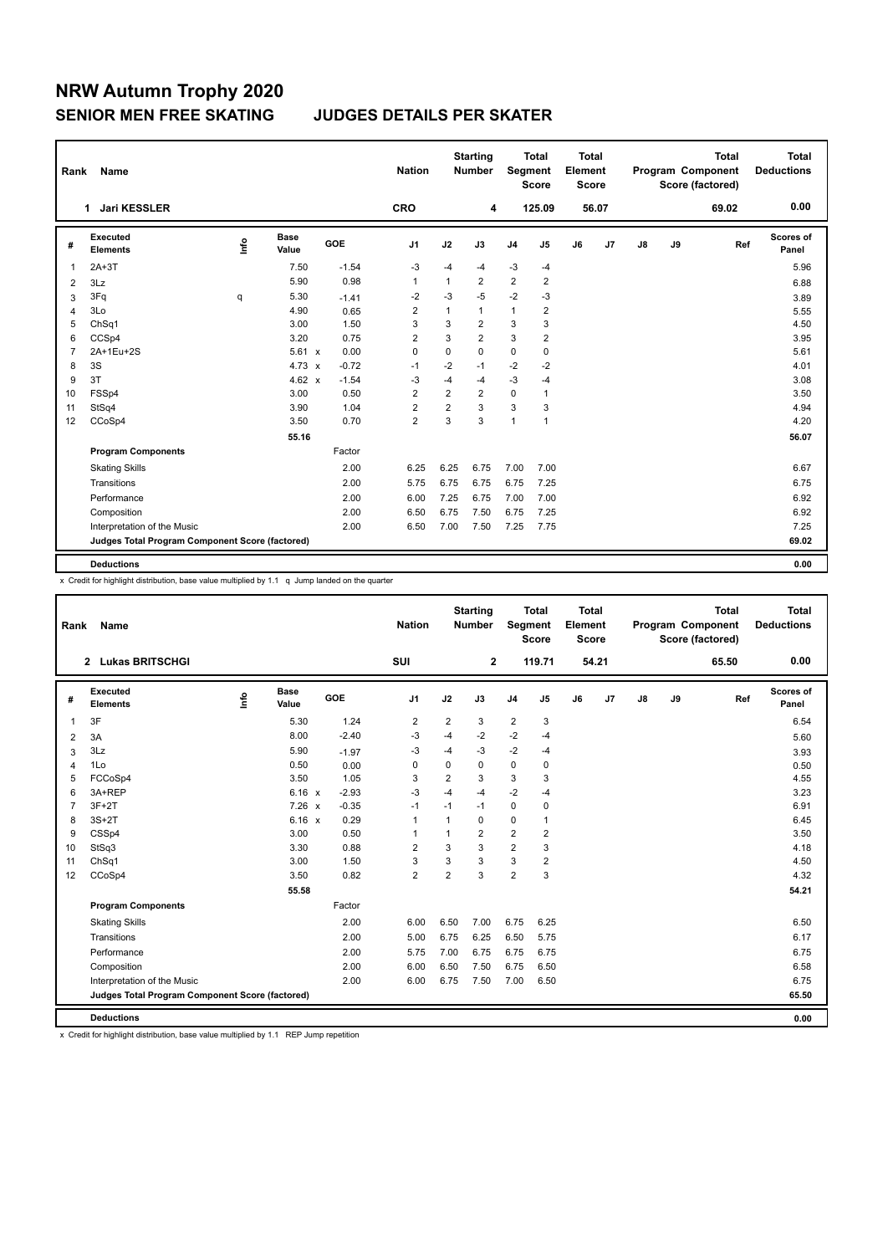## **NRW Autumn Trophy 2020 SENIOR MEN FREE SKATING JUDGES DETAILS PER SKATER**

| Rank           | <b>Name</b>                                     |      |                      |         | <b>Nation</b>  |                | <b>Starting</b><br><b>Number</b> | Segment        | <b>Total</b><br><b>Score</b> | <b>Total</b><br>Element<br><b>Score</b> |                |               |    | Total<br>Program Component<br>Score (factored) | <b>Total</b><br><b>Deductions</b> |
|----------------|-------------------------------------------------|------|----------------------|---------|----------------|----------------|----------------------------------|----------------|------------------------------|-----------------------------------------|----------------|---------------|----|------------------------------------------------|-----------------------------------|
|                | <b>Jari KESSLER</b><br>1                        |      |                      |         | <b>CRO</b>     |                | 4                                |                | 125.09                       |                                         | 56.07          |               |    | 69.02                                          | 0.00                              |
| #              | Executed<br><b>Elements</b>                     | lnfo | <b>Base</b><br>Value | GOE     | J <sub>1</sub> | J2             | J3                               | J <sub>4</sub> | J5                           | J6                                      | J <sub>7</sub> | $\mathsf{J}8$ | J9 | Ref                                            | <b>Scores of</b><br>Panel         |
| $\overline{1}$ | $2A+3T$                                         |      | 7.50                 | $-1.54$ | $-3$           | $-4$           | $-4$                             | $-3$           | $-4$                         |                                         |                |               |    |                                                | 5.96                              |
| 2              | 3Lz                                             |      | 5.90                 | 0.98    | $\mathbf{1}$   | $\mathbf{1}$   | $\overline{2}$                   | $\overline{2}$ | $\overline{2}$               |                                         |                |               |    |                                                | 6.88                              |
| 3              | 3Fq                                             | q    | 5.30                 | $-1.41$ | -2             | $-3$           | $-5$                             | $-2$           | $-3$                         |                                         |                |               |    |                                                | 3.89                              |
| 4              | 3Lo                                             |      | 4.90                 | 0.65    | $\overline{2}$ | $\mathbf{1}$   | $\mathbf{1}$                     | $\overline{1}$ | 2                            |                                         |                |               |    |                                                | 5.55                              |
| 5              | ChSq1                                           |      | 3.00                 | 1.50    | 3              | 3              | $\overline{2}$                   | 3              | 3                            |                                         |                |               |    |                                                | 4.50                              |
| 6              | CCSp4                                           |      | 3.20                 | 0.75    | $\overline{2}$ | 3              | $\overline{2}$                   | 3              | $\overline{2}$               |                                         |                |               |    |                                                | 3.95                              |
| $\overline{7}$ | 2A+1Eu+2S                                       |      | $5.61 \times$        | 0.00    | $\mathbf 0$    | 0              | 0                                | $\mathbf 0$    | $\mathbf 0$                  |                                         |                |               |    |                                                | 5.61                              |
| 8              | 3S                                              |      | $4.73 \times$        | $-0.72$ | $-1$           | $-2$           | $-1$                             | $-2$           | $-2$                         |                                         |                |               |    |                                                | 4.01                              |
| 9              | 3T                                              |      | 4.62 $x$             | $-1.54$ | $-3$           | $-4$           | $-4$                             | $-3$           | $-4$                         |                                         |                |               |    |                                                | 3.08                              |
| 10             | FSSp4                                           |      | 3.00                 | 0.50    | $\overline{2}$ | $\overline{2}$ | $\overline{2}$                   | 0              | $\mathbf{1}$                 |                                         |                |               |    |                                                | 3.50                              |
| 11             | StSq4                                           |      | 3.90                 | 1.04    | $\overline{2}$ | $\overline{2}$ | 3                                | 3              | 3                            |                                         |                |               |    |                                                | 4.94                              |
| 12             | CCoSp4                                          |      | 3.50                 | 0.70    | $\overline{2}$ | 3              | 3                                | $\mathbf{1}$   | $\mathbf{1}$                 |                                         |                |               |    |                                                | 4.20                              |
|                |                                                 |      | 55.16                |         |                |                |                                  |                |                              |                                         |                |               |    |                                                | 56.07                             |
|                | <b>Program Components</b>                       |      |                      | Factor  |                |                |                                  |                |                              |                                         |                |               |    |                                                |                                   |
|                | <b>Skating Skills</b>                           |      |                      | 2.00    | 6.25           | 6.25           | 6.75                             | 7.00           | 7.00                         |                                         |                |               |    |                                                | 6.67                              |
|                | Transitions                                     |      |                      | 2.00    | 5.75           | 6.75           | 6.75                             | 6.75           | 7.25                         |                                         |                |               |    |                                                | 6.75                              |
|                | Performance                                     |      |                      | 2.00    | 6.00           | 7.25           | 6.75                             | 7.00           | 7.00                         |                                         |                |               |    |                                                | 6.92                              |
|                | Composition                                     |      |                      | 2.00    | 6.50           | 6.75           | 7.50                             | 6.75           | 7.25                         |                                         |                |               |    |                                                | 6.92                              |
|                | Interpretation of the Music                     |      |                      | 2.00    | 6.50           | 7.00           | 7.50                             | 7.25           | 7.75                         |                                         |                |               |    |                                                | 7.25                              |
|                | Judges Total Program Component Score (factored) |      |                      |         |                |                |                                  |                |                              |                                         |                |               |    |                                                | 69.02                             |
|                |                                                 |      |                      |         |                |                |                                  |                |                              |                                         |                |               |    |                                                |                                   |
|                | <b>Deductions</b>                               |      |                      |         |                |                |                                  |                |                              |                                         |                |               |    |                                                | 0.00                              |

x Credit for highlight distribution, base value multiplied by 1.1 q Jump landed on the quarter

| Rank           | Name                                            |      |                      |         | <b>Nation</b>  |                | <b>Starting</b><br><b>Number</b> | Segment        | <b>Total</b><br><b>Score</b> | <b>Total</b><br>Element<br><b>Score</b> |                |               |    | <b>Total</b><br>Program Component<br>Score (factored) | <b>Total</b><br><b>Deductions</b> |
|----------------|-------------------------------------------------|------|----------------------|---------|----------------|----------------|----------------------------------|----------------|------------------------------|-----------------------------------------|----------------|---------------|----|-------------------------------------------------------|-----------------------------------|
|                | 2 Lukas BRITSCHGI                               |      |                      |         | SUI            |                | $\mathbf{2}$                     |                | 119.71                       |                                         | 54.21          |               |    | 65.50                                                 | 0.00                              |
| #              | Executed<br><b>Elements</b>                     | lnfo | <b>Base</b><br>Value | GOE     | J <sub>1</sub> | J2             | J3                               | J <sub>4</sub> | J5                           | J6                                      | J <sub>7</sub> | $\mathsf{J}8$ | J9 | Ref                                                   | Scores of<br>Panel                |
| $\mathbf{1}$   | 3F                                              |      | 5.30                 | 1.24    | 2              | $\overline{2}$ | 3                                | $\overline{2}$ | 3                            |                                         |                |               |    |                                                       | 6.54                              |
| 2              | 3A                                              |      | 8.00                 | $-2.40$ | $-3$           | $-4$           | $-2$                             | $-2$           | $-4$                         |                                         |                |               |    |                                                       | 5.60                              |
| 3              | 3Lz                                             |      | 5.90                 | $-1.97$ | -3             | $-4$           | $-3$                             | $-2$           | -4                           |                                         |                |               |    |                                                       | 3.93                              |
| $\overline{4}$ | 1Lo                                             |      | 0.50                 | 0.00    | 0              | 0              | 0                                | $\mathbf 0$    | 0                            |                                         |                |               |    |                                                       | 0.50                              |
| 5              | FCCoSp4                                         |      | 3.50                 | 1.05    | 3              | $\overline{2}$ | 3                                | 3              | 3                            |                                         |                |               |    |                                                       | 4.55                              |
| 6              | 3A+REP                                          |      | 6.16 x               | $-2.93$ | $-3$           | $-4$           | $-4$                             | $-2$           | $-4$                         |                                         |                |               |    |                                                       | 3.23                              |
| $\overline{7}$ | $3F+2T$                                         |      | $7.26 \times$        | $-0.35$ | $-1$           | $-1$           | $-1$                             | 0              | 0                            |                                         |                |               |    |                                                       | 6.91                              |
| 8              | $3S+2T$                                         |      | 6.16 x               | 0.29    | $\overline{1}$ | 1              | 0                                | 0              | $\mathbf{1}$                 |                                         |                |               |    |                                                       | 6.45                              |
| 9              | CSSp4                                           |      | 3.00                 | 0.50    | $\mathbf{1}$   | 1              | $\overline{2}$                   | $\overline{2}$ | $\overline{2}$               |                                         |                |               |    |                                                       | 3.50                              |
| 10             | StSq3                                           |      | 3.30                 | 0.88    | $\overline{2}$ | 3              | 3                                | $\overline{2}$ | 3                            |                                         |                |               |    |                                                       | 4.18                              |
| 11             | ChSq1                                           |      | 3.00                 | 1.50    | 3              | 3              | 3                                | 3              | $\overline{2}$               |                                         |                |               |    |                                                       | 4.50                              |
| 12             | CCoSp4                                          |      | 3.50                 | 0.82    | $\overline{2}$ | $\overline{2}$ | 3                                | $\overline{2}$ | 3                            |                                         |                |               |    |                                                       | 4.32                              |
|                |                                                 |      | 55.58                |         |                |                |                                  |                |                              |                                         |                |               |    |                                                       | 54.21                             |
|                | <b>Program Components</b>                       |      |                      | Factor  |                |                |                                  |                |                              |                                         |                |               |    |                                                       |                                   |
|                | <b>Skating Skills</b>                           |      |                      | 2.00    | 6.00           | 6.50           | 7.00                             | 6.75           | 6.25                         |                                         |                |               |    |                                                       | 6.50                              |
|                | Transitions                                     |      |                      | 2.00    | 5.00           | 6.75           | 6.25                             | 6.50           | 5.75                         |                                         |                |               |    |                                                       | 6.17                              |
|                | Performance                                     |      |                      | 2.00    | 5.75           | 7.00           | 6.75                             | 6.75           | 6.75                         |                                         |                |               |    |                                                       | 6.75                              |
|                | Composition                                     |      |                      | 2.00    | 6.00           | 6.50           | 7.50                             | 6.75           | 6.50                         |                                         |                |               |    |                                                       | 6.58                              |
|                | Interpretation of the Music                     |      |                      | 2.00    | 6.00           | 6.75           | 7.50                             | 7.00           | 6.50                         |                                         |                |               |    |                                                       | 6.75                              |
|                | Judges Total Program Component Score (factored) |      |                      |         |                |                |                                  |                |                              |                                         |                |               |    |                                                       | 65.50                             |
|                | <b>Deductions</b>                               |      |                      |         |                |                |                                  |                |                              |                                         |                |               |    |                                                       | 0.00                              |

x Credit for highlight distribution, base value multiplied by 1.1 REP Jump repetition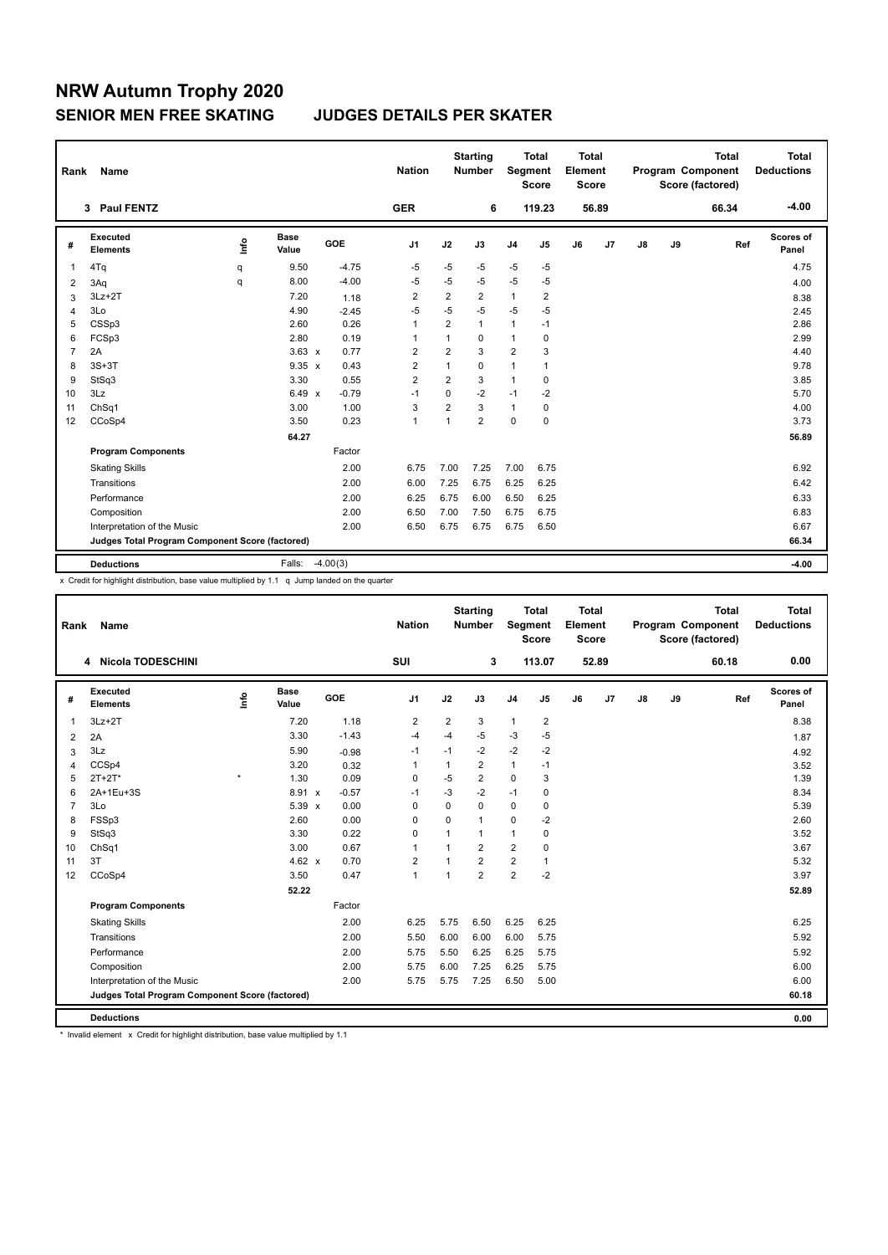# **NRW Autumn Trophy 2020 SENIOR MEN FREE SKATING JUDGES DETAILS PER SKATER**

| Rank           | Name                                            |      |               |            | <b>Nation</b>  |                | <b>Starting</b><br><b>Number</b> | <b>Segment</b> | <b>Total</b><br><b>Score</b> | Total<br>Element<br><b>Score</b> |       |    |    | <b>Total</b><br>Program Component<br>Score (factored) | <b>Total</b><br><b>Deductions</b> |
|----------------|-------------------------------------------------|------|---------------|------------|----------------|----------------|----------------------------------|----------------|------------------------------|----------------------------------|-------|----|----|-------------------------------------------------------|-----------------------------------|
|                | 3 Paul FENTZ                                    |      |               |            | <b>GER</b>     |                | 6                                |                | 119.23                       |                                  | 56.89 |    |    | 66.34                                                 | $-4.00$                           |
| #              | Executed<br><b>Elements</b>                     | lnfo | Base<br>Value | GOE        | J <sub>1</sub> | J2             | J3                               | J <sub>4</sub> | J5                           | J6                               | J7    | J8 | J9 | Ref                                                   | Scores of<br>Panel                |
| 1              | 4Tq                                             | q    | 9.50          | $-4.75$    | $-5$           | $-5$           | $-5$                             | $-5$           | $-5$                         |                                  |       |    |    |                                                       | 4.75                              |
| 2              | 3Aq                                             | q    | 8.00          | $-4.00$    | $-5$           | $-5$           | $-5$                             | $-5$           | $-5$                         |                                  |       |    |    |                                                       | 4.00                              |
| 3              | $3Lz + 2T$                                      |      | 7.20          | 1.18       | $\overline{2}$ | $\overline{2}$ | $\overline{2}$                   | $\mathbf{1}$   | $\overline{2}$               |                                  |       |    |    |                                                       | 8.38                              |
| 4              | 3Lo                                             |      | 4.90          | $-2.45$    | $-5$           | $-5$           | $-5$                             | $-5$           | $-5$                         |                                  |       |    |    |                                                       | 2.45                              |
| 5              | CSSp3                                           |      | 2.60          | 0.26       | $\mathbf{1}$   | $\overline{2}$ | 1                                | $\mathbf{1}$   | $-1$                         |                                  |       |    |    |                                                       | 2.86                              |
| 6              | FCSp3                                           |      | 2.80          | 0.19       | $\overline{1}$ | $\mathbf{1}$   | 0                                | $\mathbf{1}$   | $\mathbf 0$                  |                                  |       |    |    |                                                       | 2.99                              |
| $\overline{7}$ | 2A                                              |      | $3.63 \times$ | 0.77       | $\overline{2}$ | $\overline{2}$ | 3                                | 2              | 3                            |                                  |       |    |    |                                                       | 4.40                              |
| 8              | $3S+3T$                                         |      | $9.35 \times$ | 0.43       | $\overline{2}$ | 1              | $\Omega$                         | $\mathbf{1}$   | $\mathbf{1}$                 |                                  |       |    |    |                                                       | 9.78                              |
| 9              | StSq3                                           |      | 3.30          | 0.55       | $\overline{2}$ | $\overline{2}$ | 3                                | $\mathbf{1}$   | 0                            |                                  |       |    |    |                                                       | 3.85                              |
| 10             | 3Lz                                             |      | $6.49 \times$ | $-0.79$    | $-1$           | 0              | $-2$                             | $-1$           | $-2$                         |                                  |       |    |    |                                                       | 5.70                              |
| 11             | ChSq1                                           |      | 3.00          | 1.00       | 3              | $\overline{2}$ | 3                                | $\overline{1}$ | $\mathbf 0$                  |                                  |       |    |    |                                                       | 4.00                              |
| 12             | CCoSp4                                          |      | 3.50          | 0.23       | $\overline{1}$ | 1              | $\overline{2}$                   | $\mathbf 0$    | $\mathbf 0$                  |                                  |       |    |    |                                                       | 3.73                              |
|                |                                                 |      | 64.27         |            |                |                |                                  |                |                              |                                  |       |    |    |                                                       | 56.89                             |
|                | <b>Program Components</b>                       |      |               | Factor     |                |                |                                  |                |                              |                                  |       |    |    |                                                       |                                   |
|                | <b>Skating Skills</b>                           |      |               | 2.00       | 6.75           | 7.00           | 7.25                             | 7.00           | 6.75                         |                                  |       |    |    |                                                       | 6.92                              |
|                | Transitions                                     |      |               | 2.00       | 6.00           | 7.25           | 6.75                             | 6.25           | 6.25                         |                                  |       |    |    |                                                       | 6.42                              |
|                | Performance                                     |      |               | 2.00       | 6.25           | 6.75           | 6.00                             | 6.50           | 6.25                         |                                  |       |    |    |                                                       | 6.33                              |
|                | Composition                                     |      |               | 2.00       | 6.50           | 7.00           | 7.50                             | 6.75           | 6.75                         |                                  |       |    |    |                                                       | 6.83                              |
|                | Interpretation of the Music                     |      |               | 2.00       | 6.50           | 6.75           | 6.75                             | 6.75           | 6.50                         |                                  |       |    |    |                                                       | 6.67                              |
|                | Judges Total Program Component Score (factored) |      |               |            |                |                |                                  |                |                              |                                  |       |    |    |                                                       | 66.34                             |
|                | <b>Deductions</b>                               |      | Falls:        | $-4.00(3)$ |                |                |                                  |                |                              |                                  |       |    |    |                                                       | $-4.00$                           |

x Credit for highlight distribution, base value multiplied by 1.1 q Jump landed on the quarter

| Rank           | <b>Name</b>                                     |         |                      |         | <b>Nation</b>  |                | <b>Starting</b><br><b>Number</b> | Segment        | <b>Total</b><br><b>Score</b> | <b>Total</b><br>Element<br>Score |       |    |    | <b>Total</b><br>Program Component<br>Score (factored) | <b>Total</b><br><b>Deductions</b> |
|----------------|-------------------------------------------------|---------|----------------------|---------|----------------|----------------|----------------------------------|----------------|------------------------------|----------------------------------|-------|----|----|-------------------------------------------------------|-----------------------------------|
|                | <b>Nicola TODESCHINI</b><br>4                   |         |                      |         | SUI            |                | 3                                |                | 113.07                       |                                  | 52.89 |    |    | 60.18                                                 | 0.00                              |
| #              | Executed<br><b>Elements</b>                     | ١nfo    | <b>Base</b><br>Value | GOE     | J <sub>1</sub> | J2             | J3                               | J4             | J <sub>5</sub>               | J6                               | J7    | J8 | J9 | Ref                                                   | Scores of<br>Panel                |
| $\overline{1}$ | $3Lz + 2T$                                      |         | 7.20                 | 1.18    | $\overline{2}$ | $\overline{2}$ | 3                                | $\mathbf{1}$   | $\overline{2}$               |                                  |       |    |    |                                                       | 8.38                              |
| 2              | 2A                                              |         | 3.30                 | $-1.43$ | $-4$           | $-4$           | $-5$                             | $-3$           | $-5$                         |                                  |       |    |    |                                                       | 1.87                              |
| 3              | 3Lz                                             |         | 5.90                 | $-0.98$ | $-1$           | $-1$           | $-2$                             | $-2$           | $-2$                         |                                  |       |    |    |                                                       | 4.92                              |
| $\overline{4}$ | CCSp4                                           |         | 3.20                 | 0.32    | $\overline{1}$ | $\mathbf{1}$   | $\overline{2}$                   | $\mathbf{1}$   | $-1$                         |                                  |       |    |    |                                                       | 3.52                              |
| 5              | $2T+2T^*$                                       | $\star$ | 1.30                 | 0.09    | 0              | $-5$           | $\overline{2}$                   | $\mathbf 0$    | 3                            |                                  |       |    |    |                                                       | 1.39                              |
| 6              | 2A+1Eu+3S                                       |         | 8.91 x               | $-0.57$ | $-1$           | $-3$           | $-2$                             | $-1$           | 0                            |                                  |       |    |    |                                                       | 8.34                              |
| $\overline{7}$ | 3Lo                                             |         | 5.39 x               | 0.00    | $\Omega$       | 0              | $\Omega$                         | 0              | 0                            |                                  |       |    |    |                                                       | 5.39                              |
| 8              | FSSp3                                           |         | 2.60                 | 0.00    | 0              | $\mathbf 0$    | $\mathbf{1}$                     | $\mathbf 0$    | $-2$                         |                                  |       |    |    |                                                       | 2.60                              |
| 9              | StSq3                                           |         | 3.30                 | 0.22    | 0              | $\mathbf{1}$   | $\mathbf{1}$                     | $\mathbf{1}$   | $\mathbf 0$                  |                                  |       |    |    |                                                       | 3.52                              |
| 10             | Ch <sub>Sq1</sub>                               |         | 3.00                 | 0.67    | $\overline{1}$ | 1              | $\overline{2}$                   | $\overline{2}$ | $\mathbf 0$                  |                                  |       |    |    |                                                       | 3.67                              |
| 11             | 3T                                              |         | $4.62 \times$        | 0.70    | 2              | $\mathbf{1}$   | $\overline{2}$                   | $\overline{2}$ | $\mathbf{1}$                 |                                  |       |    |    |                                                       | 5.32                              |
| 12             | CCoSp4                                          |         | 3.50                 | 0.47    | $\mathbf{1}$   | $\overline{1}$ | $\overline{2}$                   | $\overline{2}$ | $-2$                         |                                  |       |    |    |                                                       | 3.97                              |
|                |                                                 |         | 52.22                |         |                |                |                                  |                |                              |                                  |       |    |    |                                                       | 52.89                             |
|                | <b>Program Components</b>                       |         |                      | Factor  |                |                |                                  |                |                              |                                  |       |    |    |                                                       |                                   |
|                | <b>Skating Skills</b>                           |         |                      | 2.00    | 6.25           | 5.75           | 6.50                             | 6.25           | 6.25                         |                                  |       |    |    |                                                       | 6.25                              |
|                | Transitions                                     |         |                      | 2.00    | 5.50           | 6.00           | 6.00                             | 6.00           | 5.75                         |                                  |       |    |    |                                                       | 5.92                              |
|                | Performance                                     |         |                      | 2.00    | 5.75           | 5.50           | 6.25                             | 6.25           | 5.75                         |                                  |       |    |    |                                                       | 5.92                              |
|                | Composition                                     |         |                      | 2.00    | 5.75           | 6.00           | 7.25                             | 6.25           | 5.75                         |                                  |       |    |    |                                                       | 6.00                              |
|                | Interpretation of the Music                     |         |                      | 2.00    | 5.75           | 5.75           | 7.25                             | 6.50           | 5.00                         |                                  |       |    |    |                                                       | 6.00                              |
|                | Judges Total Program Component Score (factored) |         |                      |         |                |                |                                  |                |                              |                                  |       |    |    |                                                       | 60.18                             |
|                | <b>Deductions</b>                               |         |                      |         |                |                |                                  |                |                              |                                  |       |    |    |                                                       | 0.00                              |

\* Invalid element x Credit for highlight distribution, base value multiplied by 1.1